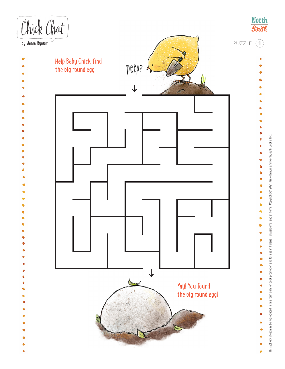

This activity sheet may be reproduced in this form only for book promotion and for use in libraries, classrooms, and at home. Copyright @ 2021 Janie Bynum and NorthSouth Books, Inc. This activity sheet may be reproduced in this form only for book promotion and for use in libraries, classrooms, and at home. Copyright © 2021 Janie Bynum and NorthSouth Books, Inc.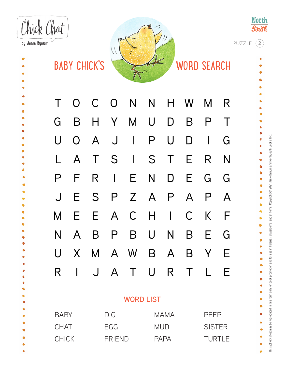Chick Chat by Janie Bynum  $\setminus$ **BABY CHICK'S WORD SEARCH** T O C O N N H W M R G B H Y M U D B P T U O A J I P U D I G L A T S I S T E R N P F R I E N D E G G ė J E S P Z A P A P A M E E A C H I C K F Ò  $\bullet$  $\ddot{\bullet}$ N A B P B U N B E G ð Ò U X M A W B A B Y E R I J A T U R T L E ö **WORD LIST**

|              | <b>WORD LIST</b> |             |               |  |  |  |  |  |  |  |  |
|--------------|------------------|-------------|---------------|--|--|--|--|--|--|--|--|
| <b>BABY</b>  | DIG              | <b>MAMA</b> | PEEP          |  |  |  |  |  |  |  |  |
| <b>CHAT</b>  | EGG.             | <b>MUD</b>  | <b>SISTER</b> |  |  |  |  |  |  |  |  |
| <b>CHICK</b> | <b>FRIEND</b>    | <b>PAPA</b> | <b>TURTLE</b> |  |  |  |  |  |  |  |  |

PUZZLE **2**

**North** 

**South** 

 $\bullet$  $\bullet$ 

> Ġ  $\bullet$  $\bullet$

> ø

 $\bullet$ Ó Ò Ò

 $\bullet$ 

۰  $\bullet$ ò ۹

۰

 $\bullet$ 

 $\bullet$ Ó

G

 $\bullet$ 

ė